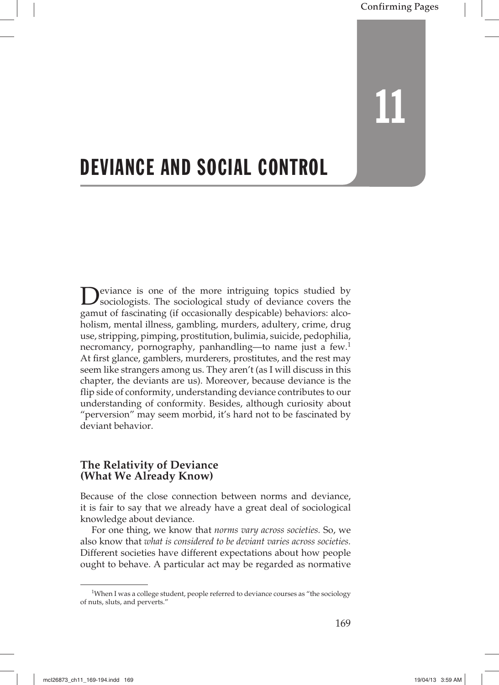# 11

# DEVIANCE AND SOCIAL CONTROL

Deviance is one of the more intriguing topics studied by sociologists. The sociological study of deviance covers the gamut of fascinating (if occasionally despicable) behaviors: alcoholism, mental illness, gambling, murders, adultery, crime, drug use, stripping, pimping, prostitution, bulimia, suicide, pedophilia, necromancy, pornography, panhandling—to name just a few.<sup>1</sup> At first glance, gamblers, murderers, prostitutes, and the rest may seem like strangers among us. They aren't (as I will discuss in this chapter, the deviants are us). Moreover, because deviance is the flip side of conformity, understanding deviance contributes to our understanding of conformity. Besides, although curiosity about "perversion" may seem morbid, it's hard not to be fascinated by deviant behavior.

# **The Relativity of Deviance (What We Already Know)**

 Because of the close connection between norms and deviance, it is fair to say that we already have a great deal of sociological knowledge about deviance.

 For one thing, we know that *norms vary across societies.* So, we also know that *what is considered to be deviant varies across societies.* Different societies have different expectations about how people ought to behave. A particular act may be regarded as normative

<sup>&</sup>lt;sup>1</sup>When I was a college student, people referred to deviance courses as "the sociology of nuts, sluts, and perverts."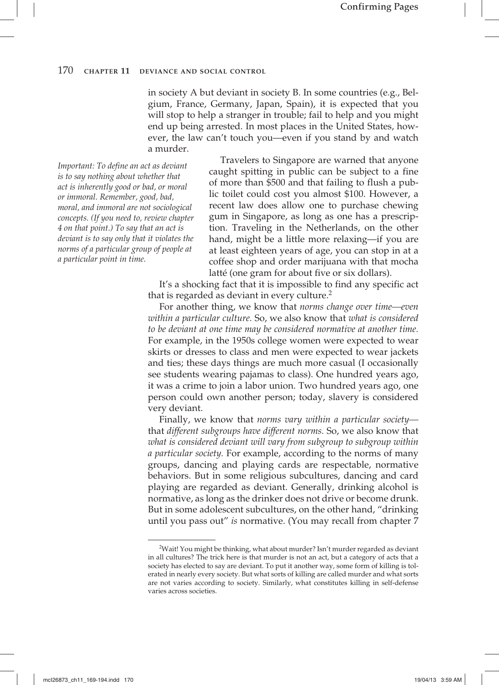in society A but deviant in society B. In some countries (e.g., Belgium, France, Germany, Japan, Spain), it is expected that you will stop to help a stranger in trouble; fail to help and you might end up being arrested. In most places in the United States, however, the law can't touch you—even if you stand by and watch a murder.

*Important: To define an act as deviant is to say nothing about whether that act is inherently good or bad, or moral or immoral. Remember, good, bad, moral, and immoral are not sociological concepts. (If you need to, review chapter 4 on that point.) To say that an act is deviant is to say only that it violates the norms of a particular group of people at a particular point in time.*

 Travelers to Singapore are warned that anyone caught spitting in public can be subject to a fine of more than \$500 and that failing to flush a public toilet could cost you almost \$100. However, a recent law does allow one to purchase chewing gum in Singapore, as long as one has a prescription. Traveling in the Netherlands, on the other hand, might be a little more relaxing—if you are at least eighteen years of age, you can stop in at a coffee shop and order marijuana with that mocha latté (one gram for about five or six dollars).

 It's a shocking fact that it is impossible to find any specific act that is regarded as deviant in every culture. $2$ 

 For another thing, we know that *norms change over time—even within a particular culture.* So, we also know that *what is considered to be deviant at one time may be considered normative at another time.* For example, in the 1950s college women were expected to wear skirts or dresses to class and men were expected to wear jackets and ties; these days things are much more casual (I occasionally see students wearing pajamas to class). One hundred years ago, it was a crime to join a labor union. Two hundred years ago, one person could own another person; today, slavery is considered very deviant.

 Finally, we know that *norms vary within a particular society* that *different subgroups have different norms.* So, we also know that *what is considered deviant will vary from subgroup to subgroup within a particular society.* For example, according to the norms of many groups, dancing and playing cards are respectable, normative behaviors. But in some religious subcultures, dancing and card playing are regarded as deviant. Generally, drinking alcohol is normative, as long as the drinker does not drive or become drunk. But in some adolescent subcultures, on the other hand, "drinking until you pass out" *is* normative. (You may recall from chapter 7

<sup>2</sup> Wait! You might be thinking, what about murder? Isn't murder regarded as deviant in all cultures? The trick here is that murder is not an act, but a category of acts that a society has elected to say are deviant. To put it another way, some form of killing is tolerated in nearly every society. But what sorts of killing are called murder and what sorts are not varies according to society. Similarly, what constitutes killing in self-defense varies across societies.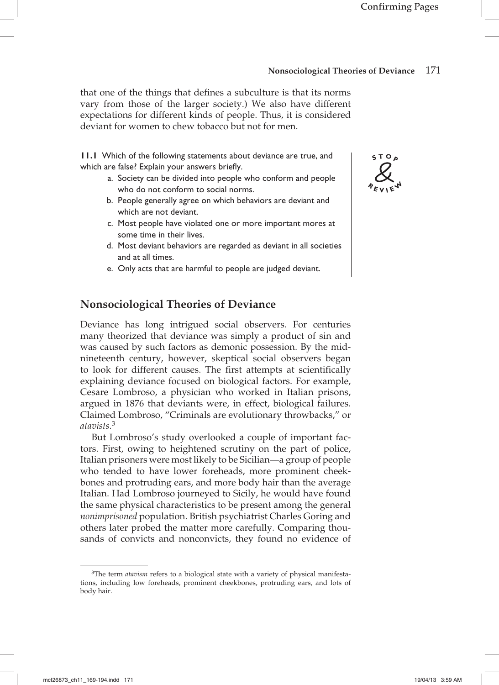that one of the things that defines a subculture is that its norms vary from those of the larger society.) We also have different expectations for different kinds of people. Thus, it is considered deviant for women to chew tobacco but not for men.

 **11.1** Which of the following statements about deviance are true, and which are false? Explain your answers briefly.

- a. Society can be divided into people who conform and people who do not conform to social norms.
- b. People generally agree on which behaviors are deviant and which are not deviant.
- c. Most people have violated one or more important mores at some time in their lives.
- d. Most deviant behaviors are regarded as deviant in all societies and at all times.
- e. Only acts that are harmful to people are judged deviant.

# **Nonsociological Theories of Deviance**

 Deviance has long intrigued social observers. For centuries many theorized that deviance was simply a product of sin and was caused by such factors as demonic possession. By the midnineteenth century, however, skeptical social observers began to look for different causes. The first attempts at scientifically explaining deviance focused on biological factors. For example, Cesare Lombroso, a physician who worked in Italian prisons, argued in 1876 that deviants were, in effect, biological failures. Claimed Lombroso, "Criminals are evolutionary throwbacks," or *atavists.*<sup>3</sup>

 But Lombroso's study overlooked a couple of important factors. First, owing to heightened scrutiny on the part of police, Italian prisoners were most likely to be Sicilian—a group of people who tended to have lower foreheads, more prominent cheekbones and protruding ears, and more body hair than the average Italian. Had Lombroso journeyed to Sicily, he would have found the same physical characteristics to be present among the general *nonimprisoned* population. British psychiatrist Charles Goring and others later probed the matter more carefully. Comparing thousands of convicts and nonconvicts, they found no evidence of



<sup>&</sup>lt;sup>3</sup>The term *atavism* refers to a biological state with a variety of physical manifestations, including low foreheads, prominent cheekbones, protruding ears, and lots of body hair.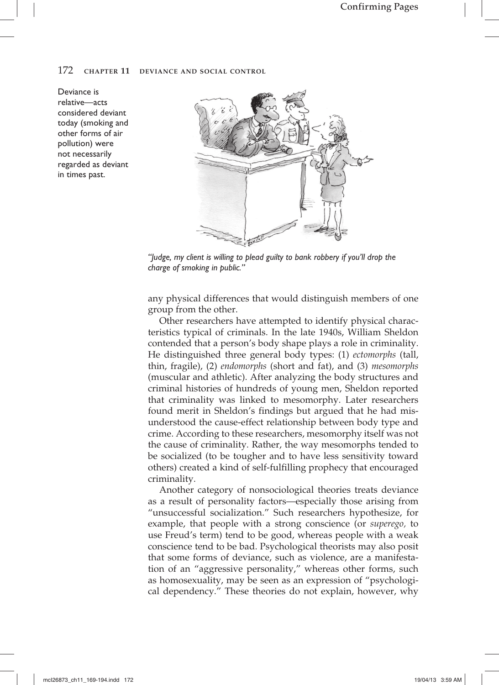Deviance is relative—acts considered deviant today (smoking and other forms of air pollution) were not necessarily regarded as deviant in times past.



*"Judge, my client is willing to plead guilty to bank robbery if you'll drop the charge of smoking in public."*

any physical differences that would distinguish members of one group from the other.

 Other researchers have attempted to identify physical characteristics typical of criminals. In the late 1940s, William Sheldon contended that a person's body shape plays a role in criminality. He distinguished three general body types: (1) *ectomorphs* (tall, thin, fragile), (2) *endomorphs* (short and fat), and (3) *mesomorphs* (muscular and athletic). After analyzing the body structures and criminal histories of hundreds of young men, Sheldon reported that criminality was linked to mesomorphy. Later researchers found merit in Sheldon's findings but argued that he had misunderstood the cause-effect relationship between body type and crime. According to these researchers, mesomorphy itself was not the cause of criminality. Rather, the way mesomorphs tended to be socialized (to be tougher and to have less sensitivity toward others) created a kind of self-fulfilling prophecy that encouraged criminality.

 Another category of nonsociological theories treats deviance as a result of personality factors—especially those arising from "unsuccessful socialization." Such researchers hypothesize, for example, that people with a strong conscience (or *superego,* to use Freud's term) tend to be good, whereas people with a weak conscience tend to be bad. Psychological theorists may also posit that some forms of deviance, such as violence, are a manifestation of an "aggressive personality," whereas other forms, such as homosexuality, may be seen as an expression of "psychological dependency." These theories do not explain, however, why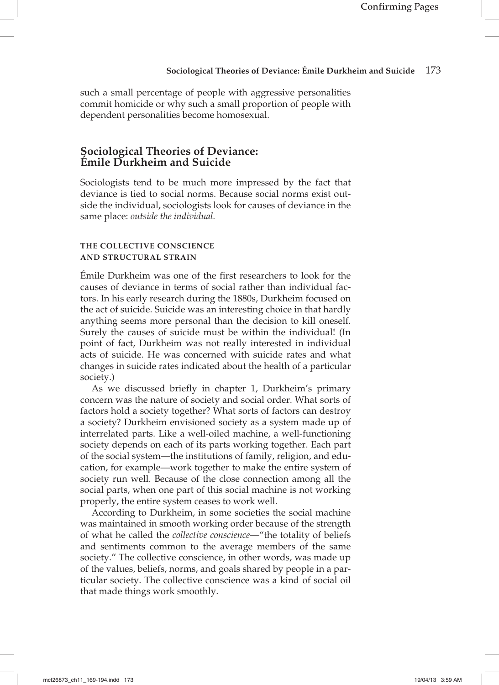such a small percentage of people with aggressive personalities commit homicide or why such a small proportion of people with dependent personalities become homosexual.

## **Sociological Theories of Deviance: Émile Durkheim and Suicide**

 Sociologists tend to be much more impressed by the fact that deviance is tied to social norms. Because social norms exist outside the individual, sociologists look for causes of deviance in the same place: *outside the individual.*

#### **THE COLLECTIVE CONSCIENCE AND STRUCTURAL STRAIN**

 Émile Durkheim was one of the first researchers to look for the causes of deviance in terms of social rather than individual factors. In his early research during the 1880s, Durkheim focused on the act of suicide. Suicide was an interesting choice in that hardly anything seems more personal than the decision to kill oneself. Surely the causes of suicide must be within the individual! (In point of fact, Durkheim was not really interested in individual acts of suicide. He was concerned with suicide rates and what changes in suicide rates indicated about the health of a particular society.)

 As we discussed briefly in chapter 1, Durkheim's primary concern was the nature of society and social order. What sorts of factors hold a society together? What sorts of factors can destroy a society? Durkheim envisioned society as a system made up of interrelated parts. Like a well-oiled machine, a well-functioning society depends on each of its parts working together. Each part of the social system—the institutions of family, religion, and education, for example—work together to make the entire system of society run well. Because of the close connection among all the social parts, when one part of this social machine is not working properly, the entire system ceases to work well.

 According to Durkheim, in some societies the social machine was maintained in smooth working order because of the strength of what he called the *collective conscience* —"the totality of beliefs and sentiments common to the average members of the same society." The collective conscience, in other words, was made up of the values, beliefs, norms, and goals shared by people in a particular society. The collective conscience was a kind of social oil that made things work smoothly.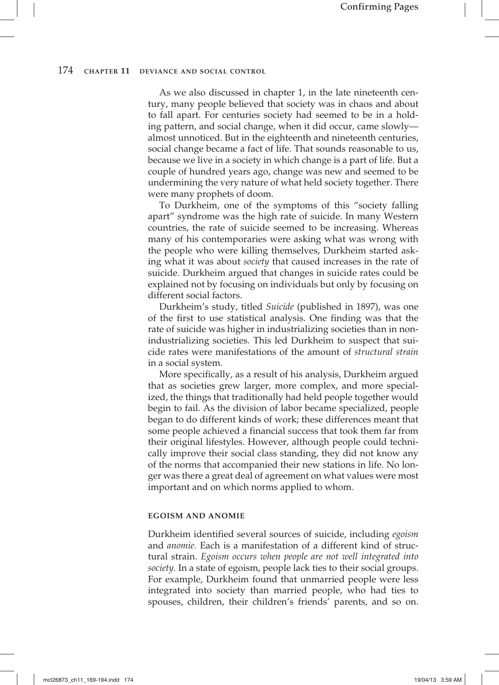As we also discussed in chapter 1, in the late nineteenth century, many people believed that society was in chaos and about to fall apart. For centuries society had seemed to be in a holding pattern, and social change, when it did occur, came slowly almost unnoticed. But in the eighteenth and nineteenth centuries, social change became a fact of life. That sounds reasonable to us, because we live in a society in which change is a part of life. But a couple of hundred years ago, change was new and seemed to be undermining the very nature of what held society together. There were many prophets of doom.

 To Durkheim, one of the symptoms of this "society falling apart" syndrome was the high rate of suicide. In many Western countries, the rate of suicide seemed to be increasing. Whereas many of his contemporaries were asking what was wrong with the people who were killing themselves, Durkheim started asking what it was about *society* that caused increases in the rate of suicide. Durkheim argued that changes in suicide rates could be explained not by focusing on individuals but only by focusing on different social factors.

 Durkheim's study, titled *Suicide* (published in 1897), was one of the first to use statistical analysis. One finding was that the rate of suicide was higher in industrializing societies than in nonindustrializing societies. This led Durkheim to suspect that suicide rates were manifestations of the amount of *structural strain* in a social system.

 More specifically, as a result of his analysis, Durkheim argued that as societies grew larger, more complex, and more specialized, the things that traditionally had held people together would begin to fail. As the division of labor became specialized, people began to do different kinds of work; these differences meant that some people achieved a financial success that took them far from their original lifestyles. However, although people could technically improve their social class standing, they did not know any of the norms that accompanied their new stations in life. No longer was there a great deal of agreement on what values were most important and on which norms applied to whom.

#### **EGOISM AND ANOMIE**

 Durkheim identified several sources of suicide, including *egoism* and *anomie.* Each is a manifestation of a different kind of structural strain. *Egoism occurs when people are not well integrated into society.* In a state of egoism, people lack ties to their social groups. For example, Durkheim found that unmarried people were less integrated into society than married people, who had ties to spouses, children, their children's friends' parents, and so on.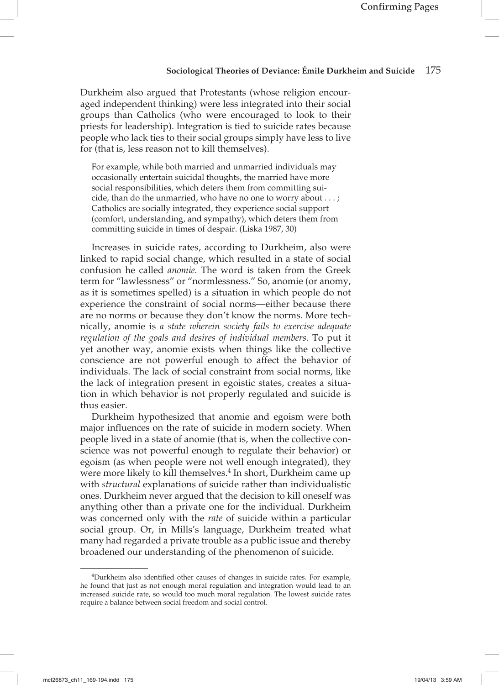Durkheim also argued that Protestants (whose religion encouraged independent thinking) were less integrated into their social groups than Catholics (who were encouraged to look to their priests for leadership). Integration is tied to suicide rates because people who lack ties to their social groups simply have less to live for (that is, less reason not to kill themselves).

 For example, while both married and unmarried individuals may occasionally entertain suicidal thoughts, the married have more social responsibilities, which deters them from committing suicide, than do the unmarried, who have no one to worry about . . . ; Catholics are socially integrated, they experience social support (comfort, understanding, and sympathy), which deters them from committing suicide in times of despair. (Liska 1987, 30)

 Increases in suicide rates, according to Durkheim, also were linked to rapid social change, which resulted in a state of social confusion he called *anomie.* The word is taken from the Greek term for "lawlessness" or "normlessness." So, anomie (or anomy, as it is sometimes spelled) is a situation in which people do not experience the constraint of social norms—either because there are no norms or because they don't know the norms. More technically, anomie is *a state wherein society fails to exercise adequate regulation of the goals and desires of individual members.* To put it yet another way, anomie exists when things like the collective conscience are not powerful enough to affect the behavior of individuals. The lack of social constraint from social norms, like the lack of integration present in egoistic states, creates a situation in which behavior is not properly regulated and suicide is thus easier.

 Durkheim hypothesized that anomie and egoism were both major influences on the rate of suicide in modern society. When people lived in a state of anomie (that is, when the collective conscience was not powerful enough to regulate their behavior) or egoism (as when people were not well enough integrated), they were more likely to kill themselves.<sup>4</sup> In short, Durkheim came up with *structural* explanations of suicide rather than individualistic ones. Durkheim never argued that the decision to kill oneself was anything other than a private one for the individual. Durkheim was concerned only with the *rate* of suicide within a particular social group. Or, in Mills's language, Durkheim treated what many had regarded a private trouble as a public issue and thereby broadened our understanding of the phenomenon of suicide.

<sup>&</sup>lt;sup>4</sup>Durkheim also identified other causes of changes in suicide rates. For example, he found that just as not enough moral regulation and integration would lead to an increased suicide rate, so would too much moral regulation. The lowest suicide rates require a balance between social freedom and social control.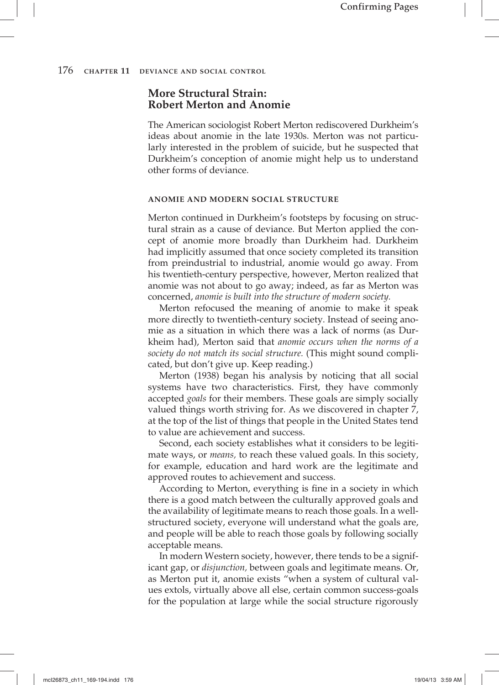# **More Structural Strain: Robert Merton and Anomie**

 The American sociologist Robert Merton rediscovered Durkheim's ideas about anomie in the late 1930s. Merton was not particularly interested in the problem of suicide, but he suspected that Durkheim's conception of anomie might help us to understand other forms of deviance.

#### **ANOMIE AND MODERN SOCIAL STRUCTURE**

 Merton continued in Durkheim's footsteps by focusing on structural strain as a cause of deviance. But Merton applied the concept of anomie more broadly than Durkheim had. Durkheim had implicitly assumed that once society completed its transition from preindustrial to industrial, anomie would go away. From his twentieth-century perspective, however, Merton realized that anomie was not about to go away; indeed, as far as Merton was concerned, *anomie is built into the structure of modern society.*

 Merton refocused the meaning of anomie to make it speak more directly to twentieth-century society. Instead of seeing anomie as a situation in which there was a lack of norms (as Durkheim had), Merton said that *anomie occurs when the norms of a society do not match its social structure.* (This might sound complicated, but don't give up. Keep reading.)

 Merton (1938) began his analysis by noticing that all social systems have two characteristics. First, they have commonly accepted *goals* for their members. These goals are simply socially valued things worth striving for. As we discovered in chapter 7, at the top of the list of things that people in the United States tend to value are achievement and success.

 Second, each society establishes what it considers to be legitimate ways, or *means,* to reach these valued goals. In this society, for example, education and hard work are the legitimate and approved routes to achievement and success.

 According to Merton, everything is fine in a society in which there is a good match between the culturally approved goals and the availability of legitimate means to reach those goals. In a wellstructured society, everyone will understand what the goals are, and people will be able to reach those goals by following socially acceptable means.

 In modern Western society, however, there tends to be a significant gap, or *disjunction,* between goals and legitimate means. Or, as Merton put it, anomie exists "when a system of cultural values extols, virtually above all else, certain common success-goals for the population at large while the social structure rigorously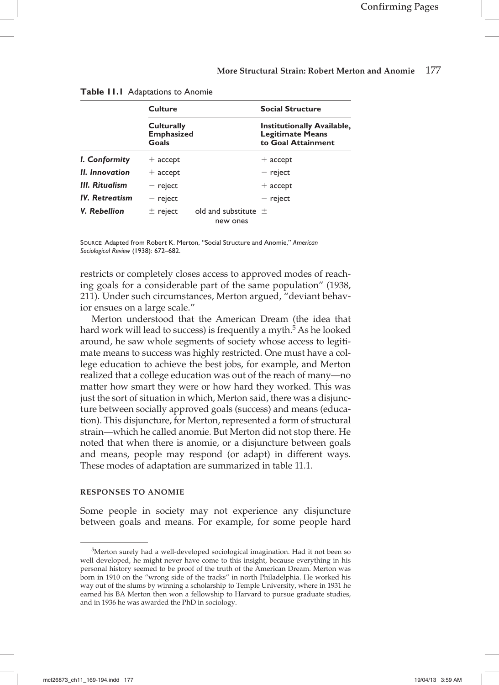|                       | Culture                                         |                                      | <b>Social Structure</b>                                                            |  |
|-----------------------|-------------------------------------------------|--------------------------------------|------------------------------------------------------------------------------------|--|
|                       | <b>Culturally</b><br><b>Emphasized</b><br>Goals |                                      | <b>Institutionally Available,</b><br><b>Legitimate Means</b><br>to Goal Attainment |  |
| I. Conformity         | $+$ accept                                      |                                      | $+$ accept                                                                         |  |
| II. Innovation        | $+$ accept                                      |                                      | $-$ reject                                                                         |  |
| <b>III. Ritualism</b> | $-$ reject                                      |                                      | $+$ accept                                                                         |  |
| <b>IV.</b> Retreatism | $-$ reject                                      |                                      | $-$ reject                                                                         |  |
| V. Rebellion          | $\pm$ reject                                    | old and substitute $\pm$<br>new ones |                                                                                    |  |

**Table 11.1** Adaptations to Anomie

SOURCE: Adapted from Robert K. Merton, "Social Structure and Anomie," *American Sociological Review* (1938): 672–682.

restricts or completely closes access to approved modes of reaching goals for a considerable part of the same population" (1938, 211). Under such circumstances, Merton argued, "deviant behavior ensues on a large scale."

 Merton understood that the American Dream (the idea that hard work will lead to success) is frequently a myth.<sup>5</sup> As he looked around, he saw whole segments of society whose access to legitimate means to success was highly restricted. One must have a college education to achieve the best jobs, for example, and Merton realized that a college education was out of the reach of many—no matter how smart they were or how hard they worked. This was just the sort of situation in which, Merton said, there was a disjuncture between socially approved goals (success) and means (education). This disjuncture, for Merton, represented a form of structural strain—which he called anomie. But Merton did not stop there. He noted that when there is anomie, or a disjuncture between goals and means, people may respond (or adapt) in different ways. These modes of adaptation are summarized in table 11.1 .

#### **RESPONSES TO ANOMIE**

 Some people in society may not experience any disjuncture between goals and means. For example, for some people hard

<sup>5</sup> Merton surely had a well-developed sociological imagination. Had it not been so well developed, he might never have come to this insight, because everything in his personal history seemed to be proof of the truth of the American Dream. Merton was born in 1910 on the "wrong side of the tracks" in north Philadelphia. He worked his way out of the slums by winning a scholarship to Temple University, where in 1931 he earned his BA Merton then won a fellowship to Harvard to pursue graduate studies, and in 1936 he was awarded the PhD in sociology.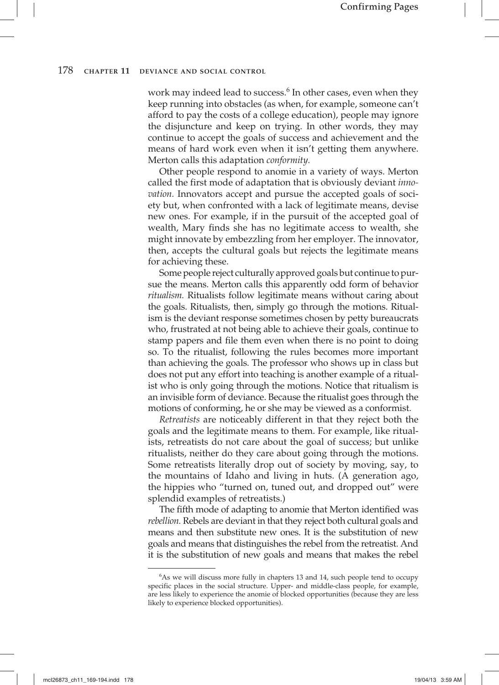work may indeed lead to success.<sup>6</sup> In other cases, even when they keep running into obstacles (as when, for example, someone can't afford to pay the costs of a college education), people may ignore the disjuncture and keep on trying. In other words, they may continue to accept the goals of success and achievement and the means of hard work even when it isn't getting them anywhere. Merton calls this adaptation *conformity.*

 Other people respond to anomie in a variety of ways. Merton called the first mode of adaptation that is obviously deviant *innovation.* Innovators accept and pursue the accepted goals of society but, when confronted with a lack of legitimate means, devise new ones. For example, if in the pursuit of the accepted goal of wealth, Mary finds she has no legitimate access to wealth, she might innovate by embezzling from her employer. The innovator, then, accepts the cultural goals but rejects the legitimate means for achieving these.

 Some people reject culturally approved goals but continue to pursue the means. Merton calls this apparently odd form of behavior *ritualism.* Ritualists follow legitimate means without caring about the goals. Ritualists, then, simply go through the motions. Ritualism is the deviant response sometimes chosen by petty bureaucrats who, frustrated at not being able to achieve their goals, continue to stamp papers and file them even when there is no point to doing so. To the ritualist, following the rules becomes more important than achieving the goals. The professor who shows up in class but does not put any effort into teaching is another example of a ritualist who is only going through the motions. Notice that ritualism is an invisible form of deviance. Because the ritualist goes through the motions of conforming, he or she may be viewed as a conformist.

*Retreatists* are noticeably different in that they reject both the goals and the legitimate means to them. For example, like ritualists, retreatists do not care about the goal of success; but unlike ritualists, neither do they care about going through the motions. Some retreatists literally drop out of society by moving, say, to the mountains of Idaho and living in huts. (A generation ago, the hippies who "turned on, tuned out, and dropped out" were splendid examples of retreatists.)

 The fifth mode of adapting to anomie that Merton identified was *rebellion.* Rebels are deviant in that they reject both cultural goals and means and then substitute new ones. It is the substitution of new goals and means that distinguishes the rebel from the retreatist. And it is the substitution of new goals and means that makes the rebel

<sup>&</sup>lt;sup>6</sup>As we will discuss more fully in chapters 13 and 14, such people tend to occupy specific places in the social structure. Upper- and middle-class people, for example, are less likely to experience the anomie of blocked opportunities (because they are less likely to experience blocked opportunities).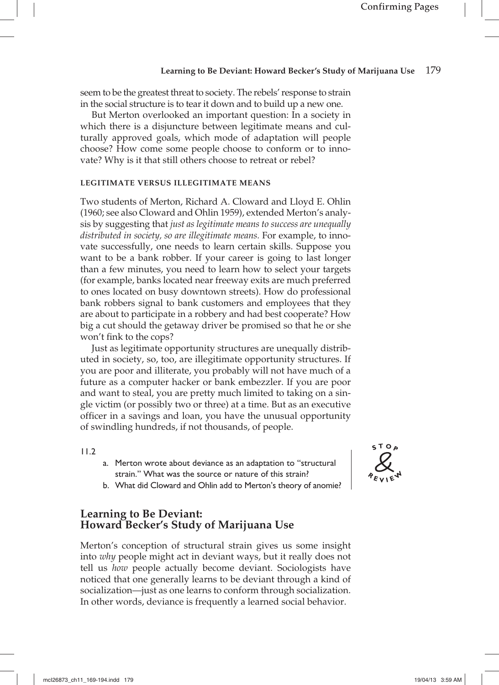seem to be the greatest threat to society. The rebels' response to strain in the social structure is to tear it down and to build up a new one.

 But Merton overlooked an important question: In a society in which there is a disjuncture between legitimate means and culturally approved goals, which mode of adaptation will people choose? How come some people choose to conform or to innovate? Why is it that still others choose to retreat or rebel?

#### **LEGITIMATE VERSUS ILLEGITIMATE MEANS**

 Two students of Merton, Richard A. Cloward and Lloyd E. Ohlin (1960; see also Cloward and Ohlin 1959), extended Merton's analysis by suggesting that *just as legitimate means to success are unequally distributed in society, so are illegitimate means.* For example, to innovate successfully, one needs to learn certain skills. Suppose you want to be a bank robber. If your career is going to last longer than a few minutes, you need to learn how to select your targets (for example, banks located near freeway exits are much preferred to ones located on busy downtown streets). How do professional bank robbers signal to bank customers and employees that they are about to participate in a robbery and had best cooperate? How big a cut should the getaway driver be promised so that he or she won't fink to the cops?

 Just as legitimate opportunity structures are unequally distributed in society, so, too, are illegitimate opportunity structures. If you are poor and illiterate, you probably will not have much of a future as a computer hacker or bank embezzler. If you are poor and want to steal, you are pretty much limited to taking on a single victim (or possibly two or three) at a time. But as an executive officer in a savings and loan, you have the unusual opportunity of swindling hundreds, if not thousands, of people.

#### 11.2

 a. Merton wrote about deviance as an adaptation to "structural strain." What was the source or nature of this strain?

**S <sup>T</sup> O <sup>P</sup>**  $R_{EVA}$ 

b. What did Cloward and Ohlin add to Merton's theory of anomie?

# **Learning to Be Deviant: Howard Becker's Study of Marijuana Use**

 Merton's conception of structural strain gives us some insight into *why* people might act in deviant ways, but it really does not tell us *how* people actually become deviant. Sociologists have noticed that one generally learns to be deviant through a kind of socialization—just as one learns to conform through socialization. In other words, deviance is frequently a learned social behavior.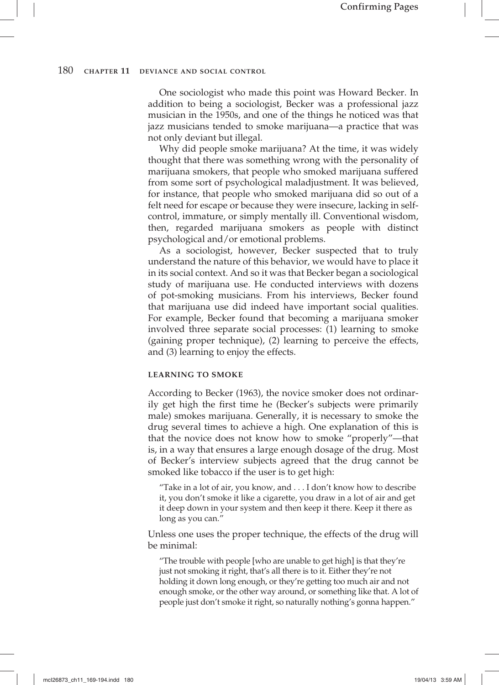One sociologist who made this point was Howard Becker. In addition to being a sociologist, Becker was a professional jazz musician in the 1950s, and one of the things he noticed was that jazz musicians tended to smoke marijuana—a practice that was not only deviant but illegal.

 Why did people smoke marijuana? At the time, it was widely thought that there was something wrong with the personality of marijuana smokers, that people who smoked marijuana suffered from some sort of psychological maladjustment. It was believed, for instance, that people who smoked marijuana did so out of a felt need for escape or because they were insecure, lacking in selfcontrol, immature, or simply mentally ill. Conventional wisdom, then, regarded marijuana smokers as people with distinct psychological and/or emotional problems.

 As a sociologist, however, Becker suspected that to truly understand the nature of this behavior, we would have to place it in its social context. And so it was that Becker began a sociological study of marijuana use. He conducted interviews with dozens of pot-smoking musicians. From his interviews, Becker found that marijuana use did indeed have important social qualities. For example, Becker found that becoming a marijuana smoker involved three separate social processes: (1) learning to smoke (gaining proper technique), (2) learning to perceive the effects, and (3) learning to enjoy the effects.

#### **LEARNING TO SMOKE**

 According to Becker (1963), the novice smoker does not ordinarily get high the first time he (Becker's subjects were primarily male) smokes marijuana. Generally, it is necessary to smoke the drug several times to achieve a high. One explanation of this is that the novice does not know how to smoke "properly"—that is, in a way that ensures a large enough dosage of the drug. Most of Becker's interview subjects agreed that the drug cannot be smoked like tobacco if the user is to get high:

 "Take in a lot of air, you know, and . . . I don't know how to describe it, you don't smoke it like a cigarette, you draw in a lot of air and get it deep down in your system and then keep it there. Keep it there as long as you can."

Unless one uses the proper technique, the effects of the drug will be minimal:

 "The trouble with people [who are unable to get high] is that they're just not smoking it right, that's all there is to it. Either they're not holding it down long enough, or they're getting too much air and not enough smoke, or the other way around, or something like that. A lot of people just don't smoke it right, so naturally nothing's gonna happen."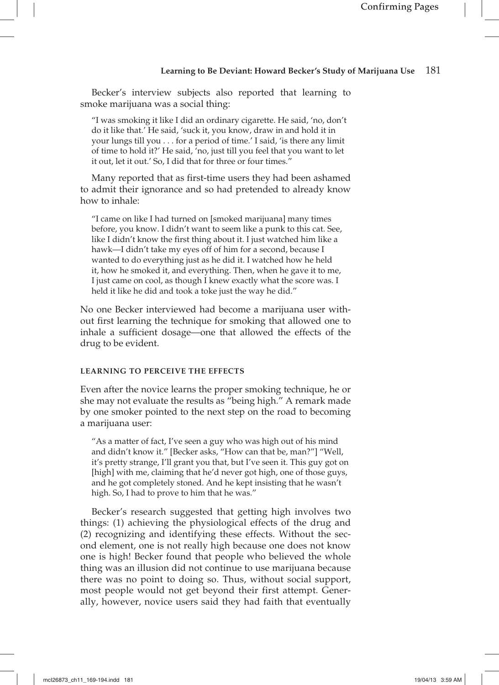Becker's interview subjects also reported that learning to smoke marijuana was a social thing:

 "I was smoking it like I did an ordinary cigarette. He said, 'no, don't do it like that.' He said, 'suck it, you know, draw in and hold it in your lungs till you . . . for a period of time.' I said, 'is there any limit of time to hold it?' He said, 'no, just till you feel that you want to let it out, let it out.' So, I did that for three or four times."

 Many reported that as first-time users they had been ashamed to admit their ignorance and so had pretended to already know how to inhale:

 "I came on like I had turned on [smoked marijuana] many times before, you know. I didn't want to seem like a punk to this cat. See, like I didn't know the first thing about it. I just watched him like a hawk—I didn't take my eyes off of him for a second, because I wanted to do everything just as he did it. I watched how he held it, how he smoked it, and everything. Then, when he gave it to me, I just came on cool, as though I knew exactly what the score was. I held it like he did and took a toke just the way he did."

No one Becker interviewed had become a marijuana user without first learning the technique for smoking that allowed one to inhale a sufficient dosage—one that allowed the effects of the drug to be evident.

#### **LEARNING TO PERCEIVE THE EFFECTS**

 Even after the novice learns the proper smoking technique, he or she may not evaluate the results as "being high." A remark made by one smoker pointed to the next step on the road to becoming a marijuana user:

 "As a matter of fact, I've seen a guy who was high out of his mind and didn't know it." [Becker asks, "How can that be, man?"] "Well, it's pretty strange, I'll grant you that, but I've seen it. This guy got on [high] with me, claiming that he'd never got high, one of those guys, and he got completely stoned. And he kept insisting that he wasn't high. So, I had to prove to him that he was."

 Becker's research suggested that getting high involves two things: (1) achieving the physiological effects of the drug and (2) recognizing and identifying these effects. Without the second element, one is not really high because one does not know one is high! Becker found that people who believed the whole thing was an illusion did not continue to use marijuana because there was no point to doing so. Thus, without social support, most people would not get beyond their first attempt. Generally, however, novice users said they had faith that eventually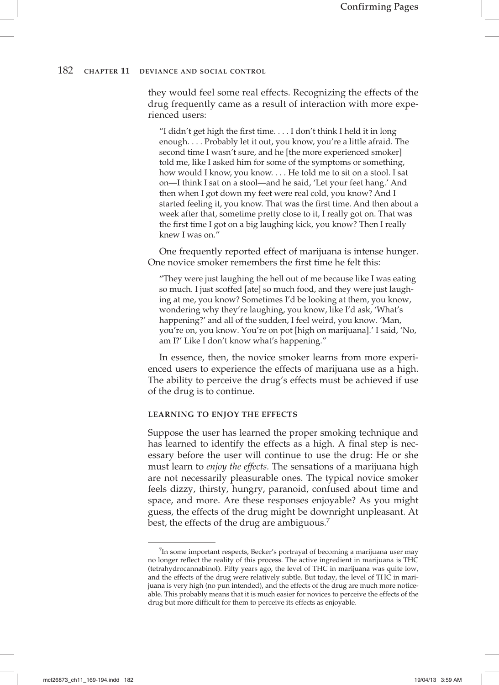they would feel some real effects. Recognizing the effects of the drug frequently came as a result of interaction with more experienced users:

 "I didn't get high the first time. . . . I don't think I held it in long enough. . . . Probably let it out, you know, you're a little afraid. The second time I wasn't sure, and he [the more experienced smoker] told me, like I asked him for some of the symptoms or something, how would I know, you know. . . . He told me to sit on a stool. I sat on—I think I sat on a stool—and he said, 'Let your feet hang.' And then when I got down my feet were real cold, you know? And I started feeling it, you know. That was the first time. And then about a week after that, sometime pretty close to it, I really got on. That was the first time I got on a big laughing kick, you know? Then I really knew I was on."

 One frequently reported effect of marijuana is intense hunger. One novice smoker remembers the first time he felt this:

 "They were just laughing the hell out of me because like I was eating so much. I just scoffed [ate] so much food, and they were just laughing at me, you know? Sometimes I'd be looking at them, you know, wondering why they're laughing, you know, like I'd ask, 'What's happening?' and all of the sudden, I feel weird, you know. 'Man, you're on, you know. You're on pot [high on marijuana].' I said, 'No, am I?' Like I don't know what's happening."

 In essence, then, the novice smoker learns from more experienced users to experience the effects of marijuana use as a high. The ability to perceive the drug's effects must be achieved if use of the drug is to continue.

#### **LEARNING TO ENJOY THE EFFECTS**

 Suppose the user has learned the proper smoking technique and has learned to identify the effects as a high. A final step is necessary before the user will continue to use the drug: He or she must learn to *enjoy the effects.* The sensations of a marijuana high are not necessarily pleasurable ones. The typical novice smoker feels dizzy, thirsty, hungry, paranoid, confused about time and space, and more. Are these responses enjoyable? As you might guess, the effects of the drug might be downright unpleasant. At best, the effects of the drug are ambiguous.<sup>7</sup>

 $Z$ In some important respects, Becker's portrayal of becoming a marijuana user may no longer reflect the reality of this process. The active ingredient in marijuana is THC (tetrahydrocannabinol). Fifty years ago, the level of THC in marijuana was quite low, and the effects of the drug were relatively subtle. But today, the level of THC in marijuana is very high (no pun intended), and the effects of the drug are much more noticeable. This probably means that it is much easier for novices to perceive the effects of the drug but more difficult for them to perceive its effects as enjoyable.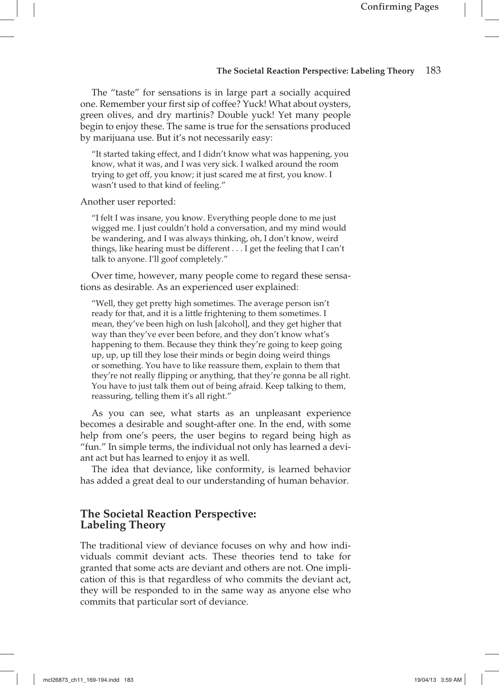The "taste" for sensations is in large part a socially acquired one. Remember your first sip of coffee? Yuck! What about oysters, green olives, and dry martinis? Double yuck! Yet many people begin to enjoy these. The same is true for the sensations produced by marijuana use. But it's not necessarily easy:

 "It started taking effect, and I didn't know what was happening, you know, what it was, and I was very sick. I walked around the room trying to get off, you know; it just scared me at first, you know. I wasn't used to that kind of feeling."

Another user reported:

 "I felt I was insane, you know. Everything people done to me just wigged me. I just couldn't hold a conversation, and my mind would be wandering, and I was always thinking, oh, I don't know, weird things, like hearing must be different . . . I get the feeling that I can't talk to anyone. I'll goof completely."

 Over time, however, many people come to regard these sensations as desirable. As an experienced user explained:

 "Well, they get pretty high sometimes. The average person isn't ready for that, and it is a little frightening to them sometimes. I mean, they've been high on lush [alcohol], and they get higher that way than they've ever been before, and they don't know what's happening to them. Because they think they're going to keep going up, up, up till they lose their minds or begin doing weird things or something. You have to like reassure them, explain to them that they're not really flipping or anything, that they're gonna be all right. You have to just talk them out of being afraid. Keep talking to them, reassuring, telling them it's all right."

 As you can see, what starts as an unpleasant experience becomes a desirable and sought-after one. In the end, with some help from one's peers, the user begins to regard being high as "fun." In simple terms, the individual not only has learned a deviant act but has learned to enjoy it as well.

 The idea that deviance, like conformity, is learned behavior has added a great deal to our understanding of human behavior.

# **The Societal Reaction Perspective: Labeling Theory**

 The traditional view of deviance focuses on why and how individuals commit deviant acts. These theories tend to take for granted that some acts are deviant and others are not. One implication of this is that regardless of who commits the deviant act, they will be responded to in the same way as anyone else who commits that particular sort of deviance.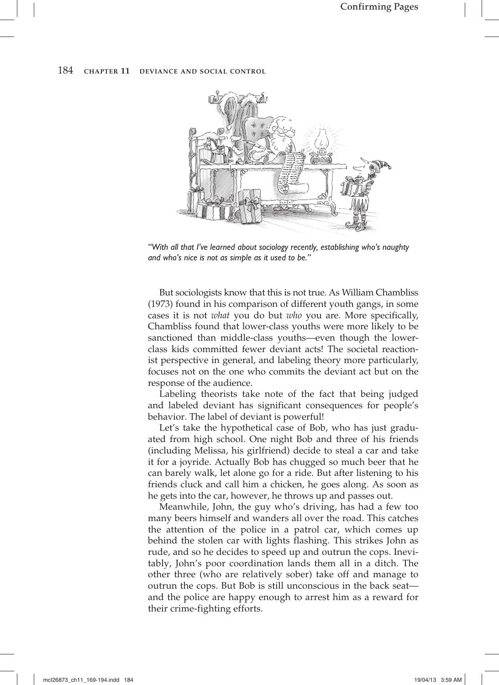

*"With all that I've learned about sociology recently, establishing who's naughty and who's nice is not as simple as it used to be."*

 But sociologists know that this is not true. As William Chambliss (1973) found in his comparison of different youth gangs, in some cases it is not *what* you do but *who* you are. More specifically, Chambliss found that lower-class youths were more likely to be sanctioned than middle-class youths—even though the lowerclass kids committed fewer deviant acts! The societal reactionist perspective in general, and labeling theory more particularly, focuses not on the one who commits the deviant act but on the response of the audience.

 Labeling theorists take note of the fact that being judged and labeled deviant has significant consequences for people's behavior. The label of deviant is powerful!

 Let's take the hypothetical case of Bob, who has just graduated from high school. One night Bob and three of his friends (including Melissa, his girlfriend) decide to steal a car and take it for a joyride. Actually Bob has chugged so much beer that he can barely walk, let alone go for a ride. But after listening to his friends cluck and call him a chicken, he goes along. As soon as he gets into the car, however, he throws up and passes out.

 Meanwhile, John, the guy who's driving, has had a few too many beers himself and wanders all over the road. This catches the attention of the police in a patrol car, which comes up behind the stolen car with lights flashing. This strikes John as rude, and so he decides to speed up and outrun the cops. Inevitably, John's poor coordination lands them all in a ditch. The other three (who are relatively sober) take off and manage to outrun the cops. But Bob is still unconscious in the back seat and the police are happy enough to arrest him as a reward for their crime-fighting efforts.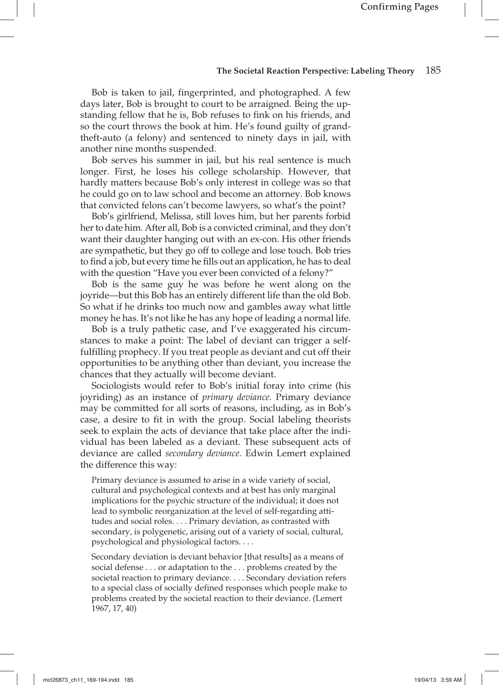Bob is taken to jail, fingerprinted, and photographed. A few days later, Bob is brought to court to be arraigned. Being the upstanding fellow that he is, Bob refuses to fink on his friends, and so the court throws the book at him. He's found guilty of grandtheft-auto (a felony) and sentenced to ninety days in jail, with another nine months suspended.

 Bob serves his summer in jail, but his real sentence is much longer. First, he loses his college scholarship. However, that hardly matters because Bob's only interest in college was so that he could go on to law school and become an attorney. Bob knows that convicted felons can't become lawyers, so what's the point?

 Bob's girlfriend, Melissa, still loves him, but her parents forbid her to date him. After all, Bob is a convicted criminal, and they don't want their daughter hanging out with an ex-con. His other friends are sympathetic, but they go off to college and lose touch. Bob tries to find a job, but every time he fills out an application, he has to deal with the question "Have you ever been convicted of a felony?"

 Bob is the same guy he was before he went along on the joyride—but this Bob has an entirely different life than the old Bob. So what if he drinks too much now and gambles away what little money he has. It's not like he has any hope of leading a normal life.

 Bob is a truly pathetic case, and I've exaggerated his circumstances to make a point: The label of deviant can trigger a selffulfilling prophecy. If you treat people as deviant and cut off their opportunities to be anything other than deviant, you increase the chances that they actually will become deviant.

 Sociologists would refer to Bob's initial foray into crime (his joyriding) as an instance of *primary deviance.* Primary deviance may be committed for all sorts of reasons, including, as in Bob's case, a desire to fit in with the group. Social labeling theorists seek to explain the acts of deviance that take place after the individual has been labeled as a deviant. These subsequent acts of deviance are called *secondary deviance.* Edwin Lemert explained the difference this way:

 Primary deviance is assumed to arise in a wide variety of social, cultural and psychological contexts and at best has only marginal implications for the psychic structure of the individual; it does not lead to symbolic reorganization at the level of self-regarding attitudes and social roles. . . . Primary deviation, as contrasted with secondary, is polygenetic, arising out of a variety of social, cultural, psychological and physiological factors. . . .

 Secondary deviation is deviant behavior [that results] as a means of social defense . . . or adaptation to the . . . problems created by the societal reaction to primary deviance. . . . Secondary deviation refers to a special class of socially defined responses which people make to problems created by the societal reaction to their deviance. (Lemert 1967, 17, 40)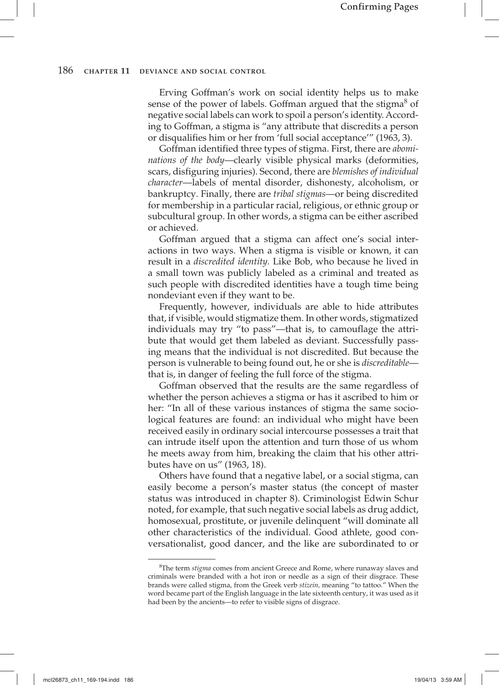Erving Goffman's work on social identity helps us to make sense of the power of labels. Goffman argued that the stigma<sup>8</sup> of negative social labels can work to spoil a person's identity. According to Goffman, a stigma is "any attribute that discredits a person or disqualifies him or her from 'full social acceptance'" (1963, 3).

 Goffman identified three types of stigma. First, there are *abominations of the body*—clearly visible physical marks (deformities, scars, disfiguring injuries). Second, there are *blemishes of individual character* —labels of mental disorder, dishonesty, alcoholism, or bankruptcy. Finally, there are *tribal stigmas* —or being discredited for membership in a particular racial, religious, or ethnic group or subcultural group. In other words, a stigma can be either ascribed or achieved.

 Goffman argued that a stigma can affect one's social interactions in two ways. When a stigma is visible or known, it can result in a *discredited identity.* Like Bob, who because he lived in a small town was publicly labeled as a criminal and treated as such people with discredited identities have a tough time being nondeviant even if they want to be.

 Frequently, however, individuals are able to hide attributes that, if visible, would stigmatize them. In other words, stigmatized individuals may try "to pass"—that is, to camouflage the attribute that would get them labeled as deviant. Successfully passing means that the individual is not discredited. But because the person is vulnerable to being found out, he or she is *discreditable* that is, in danger of feeling the full force of the stigma.

 Goffman observed that the results are the same regardless of whether the person achieves a stigma or has it ascribed to him or her: "In all of these various instances of stigma the same sociological features are found: an individual who might have been received easily in ordinary social intercourse possesses a trait that can intrude itself upon the attention and turn those of us whom he meets away from him, breaking the claim that his other attributes have on us" (1963, 18).

 Others have found that a negative label, or a social stigma, can easily become a person's master status (the concept of master status was introduced in chapter 8). Criminologist Edwin Schur noted, for example, that such negative social labels as drug addict, homosexual, prostitute, or juvenile delinquent "will dominate all other characteristics of the individual. Good athlete, good conversationalist, good dancer, and the like are subordinated to or

<sup>8</sup> The term *stigma* comes from ancient Greece and Rome, where runaway slaves and criminals were branded with a hot iron or needle as a sign of their disgrace. These brands were called stigma, from the Greek verb *stizein,* meaning "to tattoo." When the word became part of the English language in the late sixteenth century, it was used as it had been by the ancients—to refer to visible signs of disgrace.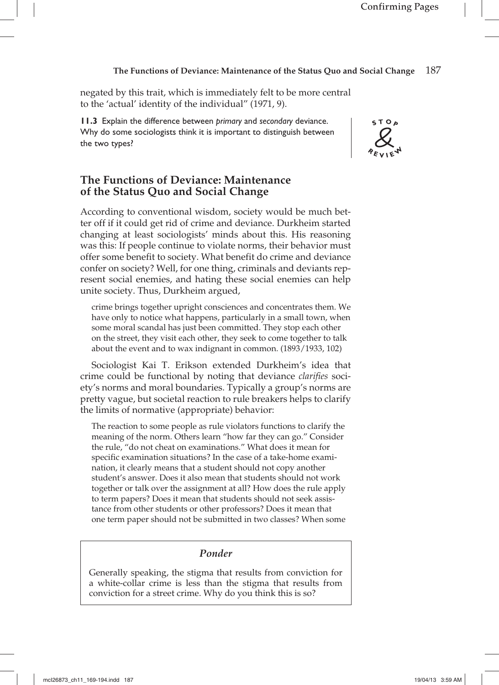negated by this trait, which is immediately felt to be more central to the 'actual' identity of the individual" (1971, 9).

 **11.3** Explain the difference between *primary* and *secondary* deviance. Why do some sociologists think it is important to distinguish between the two types?



# **The Functions of Deviance: Maintenance of the Status Quo and Social Change**

 According to conventional wisdom, society would be much better off if it could get rid of crime and deviance. Durkheim started changing at least sociologists' minds about this. His reasoning was this: If people continue to violate norms, their behavior must offer some benefit to society. What benefit do crime and deviance confer on society? Well, for one thing, criminals and deviants represent social enemies, and hating these social enemies can help unite society. Thus, Durkheim argued,

 crime brings together upright consciences and concentrates them. We have only to notice what happens, particularly in a small town, when some moral scandal has just been committed. They stop each other on the street, they visit each other, they seek to come together to talk about the event and to wax indignant in common. (1893/1933, 102)

 Sociologist Kai T. Erikson extended Durkheim's idea that crime could be functional by noting that deviance *clarifies* society's norms and moral boundaries. Typically a group's norms are pretty vague, but societal reaction to rule breakers helps to clarify the limits of normative (appropriate) behavior:

 The reaction to some people as rule violators functions to clarify the meaning of the norm. Others learn "how far they can go." Consider the rule, "do not cheat on examinations." What does it mean for specific examination situations? In the case of a take-home examination, it clearly means that a student should not copy another student's answer. Does it also mean that students should not work together or talk over the assignment at all? How does the rule apply to term papers? Does it mean that students should not seek assistance from other students or other professors? Does it mean that one term paper should not be submitted in two classes? When some

#### *Ponder*

Generally speaking, the stigma that results from conviction for a white-collar crime is less than the stigma that results from conviction for a street crime. Why do you think this is so?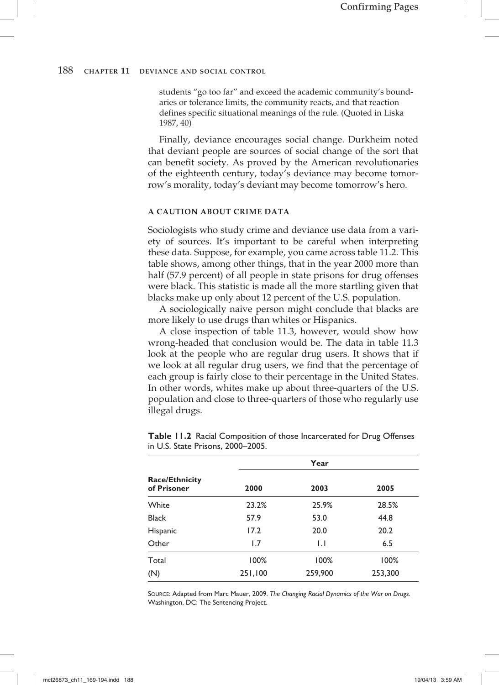students "go too far" and exceed the academic community's boundaries or tolerance limits, the community reacts, and that reaction defines specific situational meanings of the rule. (Quoted in Liska 1987, 40)

 Finally, deviance encourages social change. Durkheim noted that deviant people are sources of social change of the sort that can benefit society. As proved by the American revolutionaries of the eighteenth century, today's deviance may become tomorrow's morality, today's deviant may become tomorrow's hero.

#### **A CAUTION ABOUT CRIME DATA**

 Sociologists who study crime and deviance use data from a variety of sources. It's important to be careful when interpreting these data. Suppose, for example, you came across table 11.2 . This table shows, among other things, that in the year 2000 more than half (57.9 percent) of all people in state prisons for drug offenses were black. This statistic is made all the more startling given that blacks make up only about 12 percent of the U.S. population.

 A sociologically naive person might conclude that blacks are more likely to use drugs than whites or Hispanics.

 A close inspection of table 11.3 , however, would show how wrong-headed that conclusion would be. The data in table 11.3 look at the people who are regular drug users. It shows that if we look at all regular drug users, we find that the percentage of each group is fairly close to their percentage in the United States. In other words, whites make up about three-quarters of the U.S. population and close to three-quarters of those who regularly use illegal drugs.

|                                      | Year    |              |         |  |  |
|--------------------------------------|---------|--------------|---------|--|--|
| <b>Race/Ethnicity</b><br>of Prisoner | 2000    | 2003         | 2005    |  |  |
| White                                | 23.2%   | 25.9%        | 28.5%   |  |  |
| <b>Black</b>                         | 57.9    | 53.0         | 44.8    |  |  |
| Hispanic                             | 17.2    | 20.0         | 20.2    |  |  |
| Other                                | 1.7     | $\mathsf{L}$ | 6.5     |  |  |
| Total                                | 100%    | 100%         | 100%    |  |  |
| (N)                                  | 251,100 | 259,900      | 253,300 |  |  |

**Table 11.2** Racial Composition of those Incarcerated for Drug Offenses in U.S. State Prisons, 2000–2005.

SOURCE: Adapted from Marc Mauer, 2009. *The Changing Racial Dynamics of the War on Drugs.* Washington, DC: The Sentencing Project.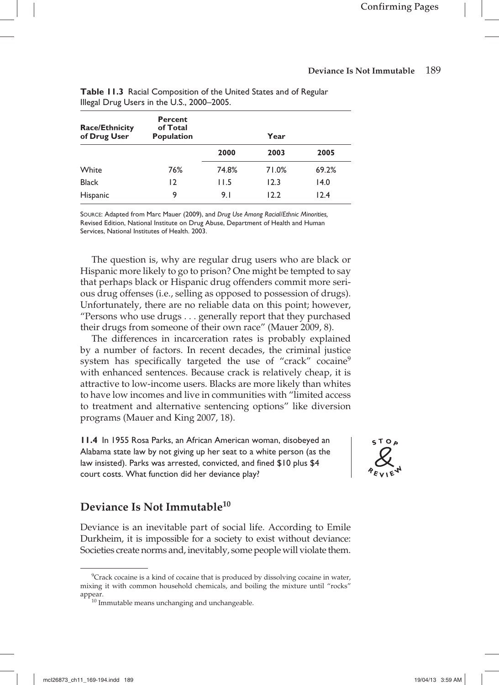| <b>Race/Ethnicity</b><br>of Drug User | Percent<br>of Total<br><b>Population</b> | Year  |       |       |  |
|---------------------------------------|------------------------------------------|-------|-------|-------|--|
|                                       |                                          | 2000  | 2003  | 2005  |  |
| White                                 | 76%                                      | 74.8% | 71.0% | 69.2% |  |
| <b>Black</b>                          | 12                                       | 11.5  | 12.3  | 14.0  |  |
| Hispanic                              | 9                                        | 9.1   | 12.2  | 12.4  |  |

**Table 11.3** Racial Composition of the United States and of Regular Illegal Drug Users in the U.S., 2000–2005.

SOURCE: Adapted from Marc Mauer (2009), and *Drug Use Among Racial/Ethnic Minorities,* Revised Edition, National Institute on Drug Abuse, Department of Health and Human Services, National Institutes of Health. 2003.

 The question is, why are regular drug users who are black or Hispanic more likely to go to prison? One might be tempted to say that perhaps black or Hispanic drug offenders commit more serious drug offenses (i.e., selling as opposed to possession of drugs). Unfortunately, there are no reliable data on this point; however, "Persons who use drugs . . . generally report that they purchased their drugs from someone of their own race" (Mauer 2009, 8).

 The differences in incarceration rates is probably explained by a number of factors. In recent decades, the criminal justice system has specifically targeted the use of "crack" cocaine<sup>9</sup> with enhanced sentences. Because crack is relatively cheap, it is attractive to low-income users. Blacks are more likely than whites to have low incomes and live in communities with "limited access to treatment and alternative sentencing options" like diversion programs (Mauer and King 2007, 18).

 **11.4** In 1955 Rosa Parks, an African American woman, disobeyed an Alabama state law by not giving up her seat to a white person (as the law insisted). Parks was arrested, convicted, and fined \$10 plus \$4 court costs. What function did her deviance play?



# **Deviance Is Not Immutable10**

Deviance is an inevitable part of social life. According to Emile Durkheim, it is impossible for a society to exist without deviance: Societies create norms and, inevitably, some people will violate them.

<sup>&</sup>lt;sup>9</sup> Crack cocaine is a kind of cocaine that is produced by dissolving cocaine in water, mixing it with common household chemicals, and boiling the mixture until "rocks" appear.

<sup>&</sup>lt;sup>10</sup> Immutable means unchanging and unchangeable.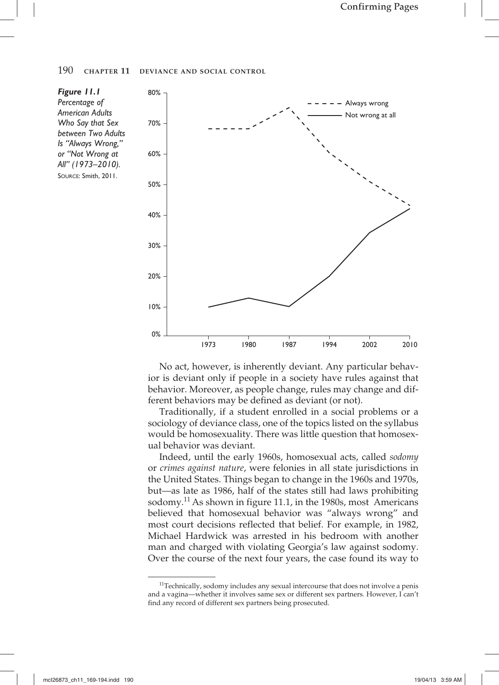

No act, however, is inherently deviant. Any particular behavior is deviant only if people in a society have rules against that behavior. Moreover, as people change, rules may change and different behaviors may be defined as deviant (or not).

Traditionally, if a student enrolled in a social problems or a sociology of deviance class, one of the topics listed on the syllabus would be homosexuality. There was little question that homosexual behavior was deviant.

Indeed, until the early 1960s, homosexual acts, called *sodomy* or *crimes against nature*, were felonies in all state jurisdictions in the United States. Things began to change in the 1960s and 1970s, but—as late as 1986, half of the states still had laws prohibiting sodomy.<sup>11</sup> As shown in figure 11.1, in the 1980s, most Americans believed that homosexual behavior was "always wrong" and most court decisions reflected that belief. For example, in 1982, Michael Hardwick was arrested in his bedroom with another man and charged with violating Georgia's law against sodomy. Over the course of the next four years, the case found its way to

<sup>&</sup>lt;sup>11</sup>Technically, sodomy includes any sexual intercourse that does not involve a penis and a vagina—whether it involves same sex or different sex partners. However, I can't find any record of different sex partners being prosecuted.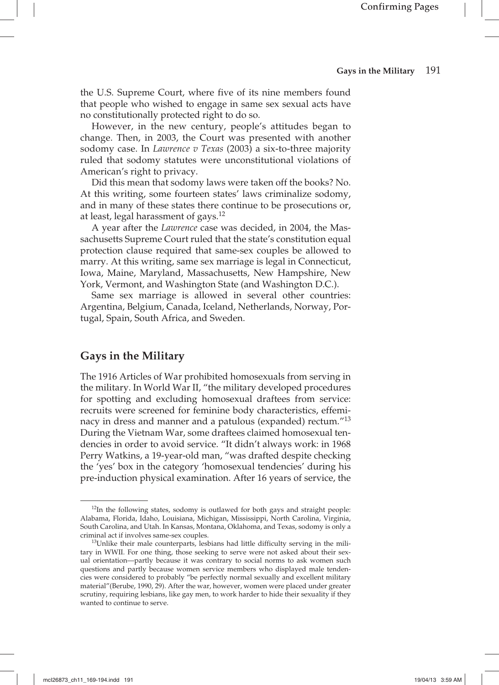the U.S. Supreme Court, where five of its nine members found that people who wished to engage in same sex sexual acts have no constitutionally protected right to do so.

However, in the new century, people's attitudes began to change. Then, in 2003, the Court was presented with another sodomy case. In *Lawrence v Texas* (2003) a six-to-three majority ruled that sodomy statutes were unconstitutional violations of American's right to privacy.

Did this mean that sodomy laws were taken off the books? No. At this writing, some fourteen states' laws criminalize sodomy, and in many of these states there continue to be prosecutions or, at least, legal harassment of gays. $12$ 

A year after the *Lawrence* case was decided, in 2004, the Massachusetts Supreme Court ruled that the state's constitution equal protection clause required that same-sex couples be allowed to marry. At this writing, same sex marriage is legal in Connecticut, Iowa, Maine, Maryland, Massachusetts, New Hampshire, New York, Vermont, and Washington State (and Washington D.C.).

Same sex marriage is allowed in several other countries: Argentina, Belgium, Canada, Iceland, Netherlands, Norway, Portugal, Spain, South Africa, and Sweden.

# **Gays in the Military**

The 1916 Articles of War prohibited homosexuals from serving in the military. In World War II, "the military developed procedures for spotting and excluding homosexual draftees from service: recruits were screened for feminine body characteristics, effeminacy in dress and manner and a patulous (expanded) rectum.<sup>"13</sup> During the Vietnam War, some draftees claimed homosexual tendencies in order to avoid service. "It didn't always work: in 1968 Perry Watkins, a 19-year-old man, "was drafted despite checking the 'yes' box in the category 'homosexual tendencies' during his pre-induction physical examination. After 16 years of service, the

 $12$ In the following states, sodomy is outlawed for both gays and straight people: Alabama, Florida, Idaho, Louisiana, Michigan, Mississippi, North Carolina, Virginia, South Carolina, and Utah. In Kansas, Montana, Oklahoma, and Texas, sodomy is only a criminal act if involves same-sex couples.

<sup>&</sup>lt;sup>13</sup>Unlike their male counterparts, lesbians had little difficulty serving in the military in WWII. For one thing, those seeking to serve were not asked about their sexual orientation—partly because it was contrary to social norms to ask women such questions and partly because women service members who displayed male tendencies were considered to probably "be perfectly normal sexually and excellent military material"(Berube, 1990, 29). After the war, however, women were placed under greater scrutiny, requiring lesbians, like gay men, to work harder to hide their sexuality if they wanted to continue to serve.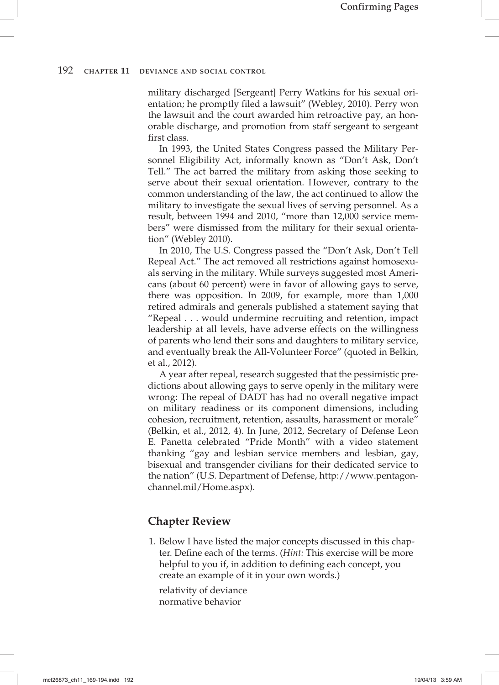military discharged [Sergeant] Perry Watkins for his sexual orientation; he promptly filed a lawsuit" (Webley, 2010). Perry won the lawsuit and the court awarded him retroactive pay, an honorable discharge, and promotion from staff sergeant to sergeant first class.

In 1993, the United States Congress passed the Military Personnel Eligibility Act, informally known as "Don't Ask, Don't Tell." The act barred the military from asking those seeking to serve about their sexual orientation. However, contrary to the common understanding of the law, the act continued to allow the military to investigate the sexual lives of serving personnel. As a result, between 1994 and 2010, "more than 12,000 service members" were dismissed from the military for their sexual orientation" (Webley 2010).

In 2010, The U.S. Congress passed the "Don't Ask, Don't Tell Repeal Act." The act removed all restrictions against homosexuals serving in the military. While surveys suggested most Americans (about 60 percent) were in favor of allowing gays to serve, there was opposition. In 2009, for example, more than 1,000 retired admirals and generals published a statement saying that "Repeal . . . would undermine recruiting and retention, impact leadership at all levels, have adverse effects on the willingness of parents who lend their sons and daughters to military service, and eventually break the All-Volunteer Force" (quoted in Belkin, et al., 2012).

A year after repeal, research suggested that the pessimistic predictions about allowing gays to serve openly in the military were wrong: The repeal of DADT has had no overall negative impact on military readiness or its component dimensions, including cohesion, recruitment, retention, assaults, harassment or morale" (Belkin, et al., 2012, 4). In June, 2012, Secretary of Defense Leon E. Panetta celebrated "Pride Month" with a video statement thanking "gay and lesbian service members and lesbian, gay, bisexual and transgender civilians for their dedicated service to the nation" (U.S. Department of Defense, http://www.pentagonchannel.mil/Home.aspx).

# **Chapter Review**

 1. Below I have listed the major concepts discussed in this chapter. Define each of the terms. ( *Hint:* This exercise will be more helpful to you if, in addition to defining each concept, you create an example of it in your own words.)

 relativity of deviance normative behavior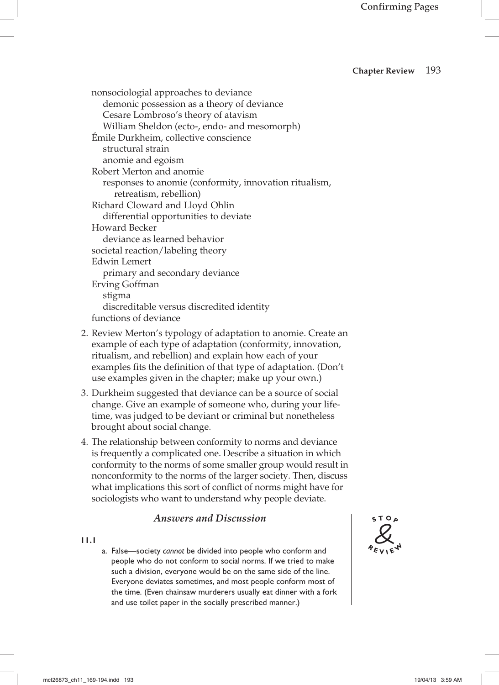nonsociologial approaches to deviance demonic possession as a theory of deviance Cesare Lombroso's theory of atavism William Sheldon (ecto-, endo- and mesomorph) Émile Durkheim, collective conscience structural strain anomie and egoism Robert Merton and anomie responses to anomie (conformity, innovation ritualism, retreatism, rebellion) Richard Cloward and Lloyd Ohlin differential opportunities to deviate Howard Becker deviance as learned behavior societal reaction/labeling theory Edwin Lemert primary and secondary deviance Erving Goffman stigma discreditable versus discredited identity functions of deviance

- 2. Review Merton's typology of adaptation to anomie. Create an example of each type of adaptation (conformity, innovation, ritualism, and rebellion) and explain how each of your examples fits the definition of that type of adaptation. (Don't use examples given in the chapter; make up your own.)
- 3. Durkheim suggested that deviance can be a source of social change. Give an example of someone who, during your lifetime, was judged to be deviant or criminal but nonetheless brought about social change.
- 4. The relationship between conformity to norms and deviance is frequently a complicated one. Describe a situation in which conformity to the norms of some smaller group would result in nonconformity to the norms of the larger society. Then, discuss what implications this sort of conflict of norms might have for sociologists who want to understand why people deviate.

# *Answers and Discussion*

### **11.1**

 a. False—society *cannot* be divided into people who conform and people who do not conform to social norms. If we tried to make such a division, everyone would be on the same side of the line. Everyone deviates sometimes, and most people conform most of the time. (Even chainsaw murderers usually eat dinner with a fork and use toilet paper in the socially prescribed manner.)